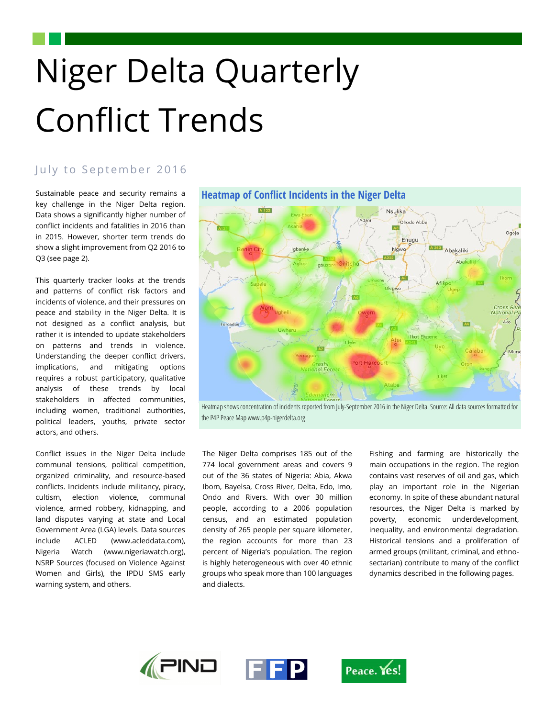# Niger Delta Quarterly Conflict Trends

# July to September 2016

Sustainable peace and security remains a key challenge in the Niger Delta region. Data shows a significantly higher number of conflict incidents and fatalities in 2016 than in 2015. However, shorter term trends do show a slight improvement from Q2 2016 to Q3 (see page 2).

This quarterly tracker looks at the trends and patterns of conflict risk factors and incidents of violence, and their pressures on peace and stability in the Niger Delta. It is not designed as a conflict analysis, but rather it is intended to update stakeholders on patterns and trends in violence. Understanding the deeper conflict drivers, implications, and mitigating options requires a robust participatory, qualitative analysis of these trends by local stakeholders in affected communities, including women, traditional authorities, political leaders, youths, private sector actors, and others.

Conflict issues in the Niger Delta include communal tensions, political competition, organized criminality, and resource-based conflicts. Incidents include militancy, piracy, cultism, election violence, communal violence, armed robbery, kidnapping, and land disputes varying at state and Local Government Area (LGA) levels. Data sources include ACLED (www.acleddata.com), Nigeria Watch (www.nigeriawatch.org), NSRP Sources (focused on Violence Against Women and Girls), the IPDU SMS early warning system, and others.

# **Heatmap of Conflict Incidents in the Niger Delta**



Heatmap shows concentration of incidents reported from July-September 2016 in the Niger Delta. Source: All data sources formatted for the P4P Peace Map www.p4p-nigerdelta.org

The Niger Delta comprises 185 out of the 774 local government areas and covers 9 out of the 36 states of Nigeria: Abia, Akwa Ibom, Bayelsa, Cross River, Delta, Edo, Imo, Ondo and Rivers. With over 30 million people, according to a 2006 population census, and an estimated population density of 265 people per square kilometer, the region accounts for more than 23 percent of Nigeria's population. The region is highly heterogeneous with over 40 ethnic groups who speak more than 100 languages and dialects.

Fishing and farming are historically the main occupations in the region. The region contains vast reserves of oil and gas, which play an important role in the Nigerian economy. In spite of these abundant natural resources, the Niger Delta is marked by poverty, economic underdevelopment, inequality, and environmental degradation. Historical tensions and a proliferation of armed groups (militant, criminal, and ethnosectarian) contribute to many of the conflict dynamics described in the following pages.

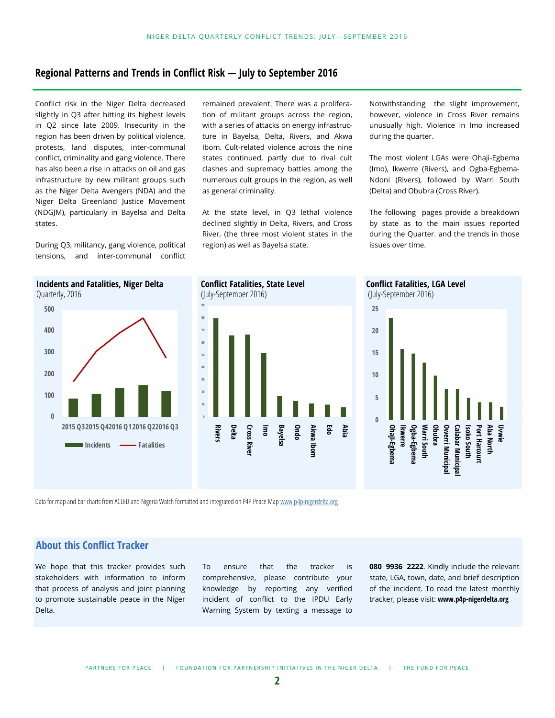# **Regional Patterns and Trends in Conflict Risk — July to September 2016**

Conflict risk in the Niger Delta decreased slightly in Q3 after hitting its highest levels in Q2 since late 2009. Insecurity in the region has been driven by political violence, protests, land disputes, inter-communal conflict, criminality and gang violence. There has also been a rise in attacks on oil and gas infrastructure by new militant groups such as the Niger Delta Avengers (NDA) and the Niger Delta Greenland Justice Movement (NDGJM), particularly in Bayelsa and Delta states.

During Q3, militancy, gang violence, political tensions, and inter-communal conflict remained prevalent. There was a proliferation of militant groups across the region, with a series of attacks on energy infrastructure in Bayelsa, Delta, Rivers, and Akwa Ibom. Cult-related violence across the nine states continued, partly due to rival cult clashes and supremacy battles among the numerous cult groups in the region, as well as general criminality.

At the state level, in Q3 lethal violence declined slightly in Delta, Rivers, and Cross River, (the three most violent states in the region) as well as Bayelsa state.

Notwithstanding the slight improvement, however, violence in Cross River remains unusually high. Violence in Imo increased during the quarter.

The most violent LGAs were Ohaji-Egbema (Imo), Ikwerre (Rivers), and Ogba-Egbema-Ndoni (Rivers), followed by Warri South (Delta) and Obubra (Cross River).

The following pages provide a breakdown by state as to the main issues reported during the Quarter. and the trends in those issues over time.



(July-September 2016) **90 70 60 10 0 Rivers Delta Cross River Imo Ondo Edo Cross River Bayelsa** Akwa Ibon **Akwa Ibom Abia**

Data for map and bar charts from ACLED and Nigeria Watch formatted and integrated on P4P Peace Map www.p4p-[nigerdelta.org](http://www.p4p-nigerdelta.org)

# **About this Conflict Tracker**

We hope that this tracker provides such stakeholders with information to inform that process of analysis and joint planning to promote sustainable peace in the Niger Delta.

To ensure that the tracker is comprehensive, please contribute your knowledge by reporting any verified incident of conflict to the IPDU Early Warning System by texting a message to

**080 9936 2222**. Kindly include the relevant state, LGA, town, date, and brief description of the incident. To read the latest monthly tracker, please visit: **www.p4p-nigerdelta.org**

**0**

**Ohaji -Egbema Ikwerre** **Ogba -Egbema Warri South Obubra Owerri Municipal Calabar Municipal Isoko South Port Harcourt Aba North Uvwie**

Warri South

Owerri Municipal **Calabar Municipa** Isoko South

Port Harcourl Aba North

**Conflict Fatalities, LGA Level** (July-September 2016)

**5**

**10**

**15**

**20**

**25**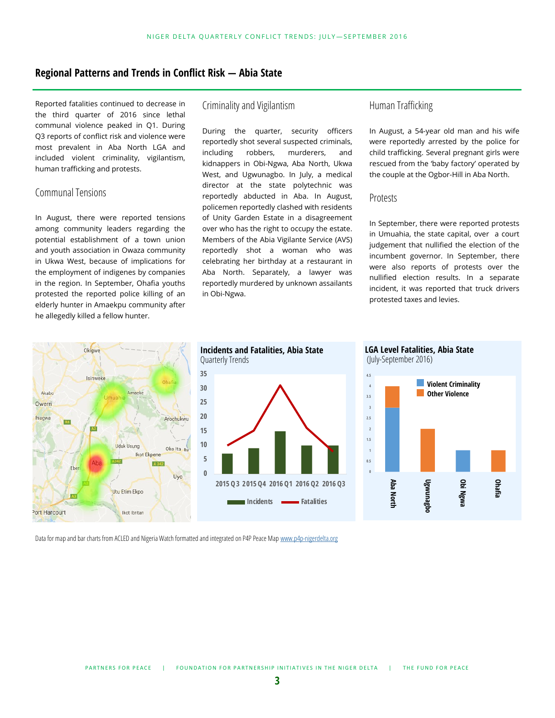# **Regional Patterns and Trends in Conflict Risk — Abia State**

Reported fatalities continued to decrease in the third quarter of 2016 since lethal communal violence peaked in Q1. During Q3 reports of conflict risk and violence were most prevalent in Aba North LGA and included violent criminality, vigilantism, human trafficking and protests.

### Communal Tensions

In August, there were reported tensions among community leaders regarding the potential establishment of a town union and youth association in Owaza community in Ukwa West, because of implications for the employment of indigenes by companies in the region. In September, Ohafia youths protested the reported police killing of an elderly hunter in Amaekpu community after he allegedly killed a fellow hunter.

# Criminality and Vigilantism

During the quarter, security officers reportedly shot several suspected criminals, including robbers, murderers, and kidnappers in Obi-Ngwa, Aba North, Ukwa West, and Ugwunagbo. In July, a medical director at the state polytechnic was reportedly abducted in Aba. In August, policemen reportedly clashed with residents of Unity Garden Estate in a disagreement over who has the right to occupy the estate. Members of the Abia Vigilante Service (AVS) reportedly shot a woman who was celebrating her birthday at a restaurant in Aba North. Separately, a lawyer was reportedly murdered by unknown assailants in Obi-Ngwa.

# Human Trafficking

In August, a 54-year old man and his wife were reportedly arrested by the police for child trafficking. Several pregnant girls were rescued from the 'baby factory' operated by the couple at the Ogbor-Hill in Aba North.

#### Protests

In September, there were reported protests in Umuahia, the state capital, over a court judgement that nullified the election of the incumbent governor. In September, there were also reports of protests over the nullified election results. In a separate incident, it was reported that truck drivers protested taxes and levies.

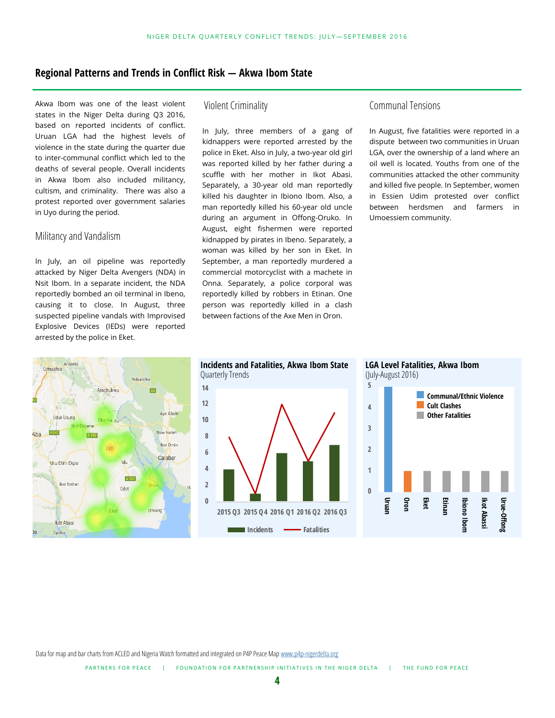# **Regional Patterns and Trends in Conflict Risk — Akwa Ibom State**

Akwa Ibom was one of the least violent states in the Niger Delta during Q3 2016, based on reported incidents of conflict. Uruan LGA had the highest levels of violence in the state during the quarter due to inter-communal conflict which led to the deaths of several people. Overall incidents in Akwa Ibom also included militancy, cultism, and criminality. There was also a protest reported over government salaries in Uyo during the period.

#### Militancy and Vandalism

In July, an oil pipeline was reportedly attacked by Niger Delta Avengers (NDA) in Nsit Ibom. In a separate incident, the NDA reportedly bombed an oil terminal in Ibeno, causing it to close. In August, three suspected pipeline vandals with Improvised Explosive Devices (IEDs) were reported arrested by the police in Eket.

# Violent Criminality

In July, three members of a gang of kidnappers were reported arrested by the police in Eket. Also in July, a two-year old girl was reported killed by her father during a scuffle with her mother in Ikot Abasi. Separately, a 30-year old man reportedly killed his daughter in Ibiono Ibom. Also, a man reportedly killed his 60-year old uncle during an argument in Offong-Oruko. In August, eight fishermen were reported kidnapped by pirates in Ibeno. Separately, a woman was killed by her son in Eket. In September, a man reportedly murdered a commercial motorcyclist with a machete in Onna. Separately, a police corporal was reportedly killed by robbers in Etinan. One person was reportedly killed in a clash between factions of the Axe Men in Oron.

# Communal Tensions

In August, five fatalities were reported in a dispute between two communities in Uruan LGA, over the ownership of a land where an oil well is located. Youths from one of the communities attacked the other community and killed five people. In September, women in Essien Udim protested over conflict between herdsmen and farmers in Umoessiem community.









Data for map and bar charts from ACLED and Nigeria Watch formatted and integrated on P4P Peace Map www.p4p-[nigerdelta.org](http://www.p4p-nigerdelta.org)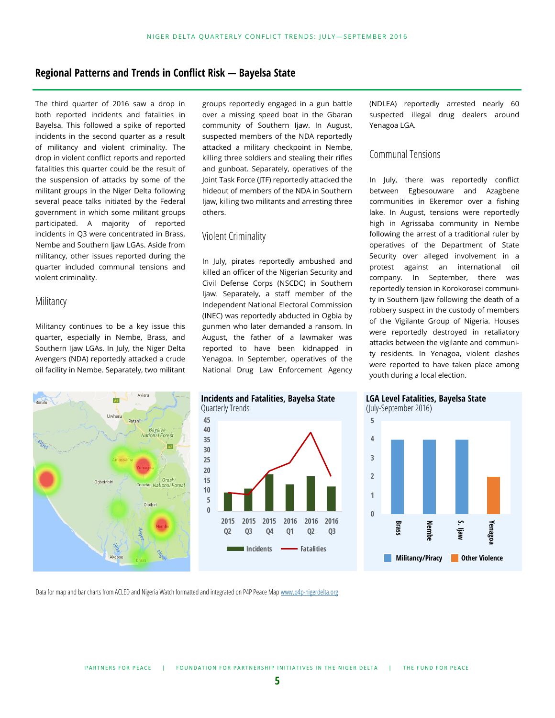# **Regional Patterns and Trends in Conflict Risk — Bayelsa State**

The third quarter of 2016 saw a drop in both reported incidents and fatalities in Bayelsa. This followed a spike of reported incidents in the second quarter as a result of militancy and violent criminality. The drop in violent conflict reports and reported fatalities this quarter could be the result of the suspension of attacks by some of the militant groups in the Niger Delta following several peace talks initiated by the Federal government in which some militant groups participated. A majority of reported incidents in Q3 were concentrated in Brass, Nembe and Southern Ijaw LGAs. Aside from militancy, other issues reported during the quarter included communal tensions and violent criminality.

#### **Militancy**

Militancy continues to be a key issue this quarter, especially in Nembe, Brass, and Southern Ijaw LGAs. In July, the Niger Delta Avengers (NDA) reportedly attacked a crude oil facility in Nembe. Separately, two militant



groups reportedly engaged in a gun battle over a missing speed boat in the Gbaran community of Southern Ijaw. In August, suspected members of the NDA reportedly attacked a military checkpoint in Nembe, killing three soldiers and stealing their rifles and gunboat. Separately, operatives of the Joint Task Force (JTF) reportedly attacked the hideout of members of the NDA in Southern Ijaw, killing two militants and arresting three others.

#### Violent Criminality

In July, pirates reportedly ambushed and killed an officer of the Nigerian Security and Civil Defense Corps (NSCDC) in Southern Ijaw. Separately, a staff member of the Independent National Electoral Commission (INEC) was reportedly abducted in Ogbia by gunmen who later demanded a ransom. In August, the father of a lawmaker was reported to have been kidnapped in Yenagoa. In September, operatives of the National Drug Law Enforcement Agency



#### Communal Tensions

In July, there was reportedly conflict between Egbesouware and Azagbene communities in Ekeremor over a fishing lake. In August, tensions were reportedly high in Agrissaba community in Nembe following the arrest of a traditional ruler by operatives of the Department of State Security over alleged involvement in a protest against an international oil company. In September, there was reportedly tension in Korokorosei community in Southern Ijaw following the death of a robbery suspect in the custody of members of the Vigilante Group of Nigeria. Houses were reportedly destroyed in retaliatory attacks between the vigilante and community residents. In Yenagoa, violent clashes were reported to have taken place among youth during a local election.



**LGA Level Fatalities, Bayelsa State** (July-September 2016)

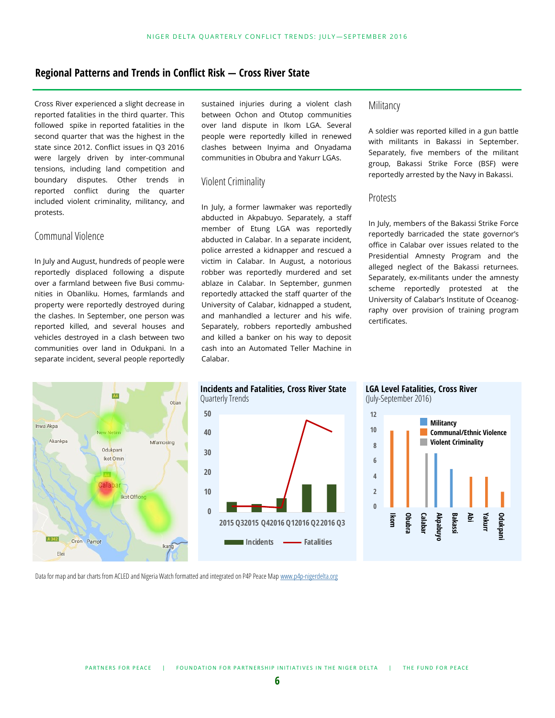# **Regional Patterns and Trends in Conflict Risk — Cross River State**

Cross River experienced a slight decrease in reported fatalities in the third quarter. This followed spike in reported fatalities in the second quarter that was the highest in the state since 2012. Conflict issues in Q3 2016 were largely driven by inter-communal tensions, including land competition and boundary disputes. Other trends in reported conflict during the quarter included violent criminality, militancy, and protests.

# Communal Violence

In July and August, hundreds of people were reportedly displaced following a dispute over a farmland between five Busi communities in Obanliku. Homes, farmlands and property were reportedly destroyed during the clashes. In September, one person was reported killed, and several houses and vehicles destroyed in a clash between two communities over land in Odukpani. In a separate incident, several people reportedly sustained injuries during a violent clash between Ochon and Otutop communities over land dispute in Ikom LGA. Several people were reportedly killed in renewed clashes between Inyima and Onyadama communities in Obubra and Yakurr LGAs.

#### Violent Criminality

In July, a former lawmaker was reportedly abducted in Akpabuyo. Separately, a staff member of Etung LGA was reportedly abducted in Calabar. In a separate incident, police arrested a kidnapper and rescued a victim in Calabar. In August, a notorious robber was reportedly murdered and set ablaze in Calabar. In September, gunmen reportedly attacked the staff quarter of the University of Calabar, kidnapped a student, and manhandled a lecturer and his wife. Separately, robbers reportedly ambushed and killed a banker on his way to deposit cash into an Automated Teller Machine in Calabar.

# **Militancy**

A soldier was reported killed in a gun battle with militants in Bakassi in September. Separately, five members of the militant group, Bakassi Strike Force (BSF) were reportedly arrested by the Navy in Bakassi.

#### Protests

In July, members of the Bakassi Strike Force reportedly barricaded the state governor's office in Calabar over issues related to the Presidential Amnesty Program and the alleged neglect of the Bakassi returnees. Separately, ex-militants under the amnesty scheme reportedly protested at the University of Calabar's Institute of Oceanography over provision of training program certificates.





**2015 Q32015 Q42016 Q12016 Q22016 Q3**

**Incidents Fatalities**



Data for map and bar charts from ACLED and Nigeria Watch formatted and integrated on P4P Peace Map www.p4p-[nigerdelta.org](http://www.p4p-nigerdelta.org)

**0**

**10**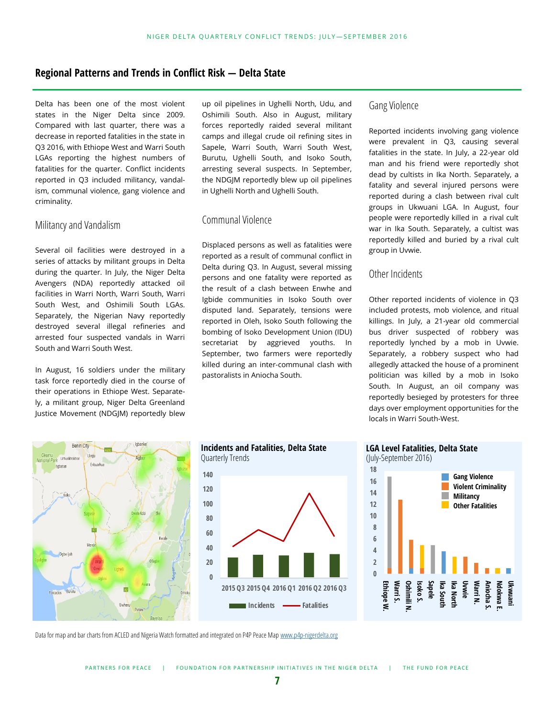# **Regional Patterns and Trends in Conflict Risk — Delta State**

Delta has been one of the most violent states in the Niger Delta since 2009. Compared with last quarter, there was a decrease in reported fatalities in the state in Q3 2016, with Ethiope West and Warri South LGAs reporting the highest numbers of fatalities for the quarter. Conflict incidents reported in Q3 included militancy, vandalism, communal violence, gang violence and criminality.

#### Militancy and Vandalism

Several oil facilities were destroyed in a series of attacks by militant groups in Delta during the quarter. In July, the Niger Delta Avengers (NDA) reportedly attacked oil facilities in Warri North, Warri South, Warri South West, and Oshimili South LGAs. Separately, the Nigerian Navy reportedly destroyed several illegal refineries and arrested four suspected vandals in Warri South and Warri South West.

In August, 16 soldiers under the military task force reportedly died in the course of their operations in Ethiope West. Separately, a militant group, Niger Delta Greenland Justice Movement (NDGJM) reportedly blew

up oil pipelines in Ughelli North, Udu, and Oshimili South. Also in August, military forces reportedly raided several militant camps and illegal crude oil refining sites in Sapele, Warri South, Warri South West, Burutu, Ughelli South, and Isoko South, arresting several suspects. In September, the NDGJM reportedly blew up oil pipelines in Ughelli North and Ughelli South.

# Communal Violence

Displaced persons as well as fatalities were reported as a result of communal conflict in Delta during Q3. In August, several missing persons and one fatality were reported as the result of a clash between Enwhe and Igbide communities in Isoko South over disputed land. Separately, tensions were reported in Oleh, Isoko South following the bombing of Isoko Development Union (IDU) secretariat by aggrieved youths. In September, two farmers were reportedly killed during an inter-communal clash with pastoralists in Aniocha South.

# Gang Violence

Reported incidents involving gang violence were prevalent in Q3, causing several fatalities in the state. In July, a 22-year old man and his friend were reportedly shot dead by cultists in Ika North. Separately, a fatality and several injured persons were reported during a clash between rival cult groups in Ukwuani LGA. In August, four people were reportedly killed in a rival cult war in Ika South. Separately, a cultist was reportedly killed and buried by a rival cult group in Uvwie.

# Other Incidents

Other reported incidents of violence in Q3 included protests, mob violence, and ritual killings. In July, a 21-year old commercial bus driver suspected of robbery was reportedly lynched by a mob in Uvwie. Separately, a robbery suspect who had allegedly attacked the house of a prominent politician was killed by a mob in Isoko South. In August, an oil company was reportedly besieged by protesters for three days over employment opportunities for the locals in Warri South-West.





**LGA Level Fatalities, Delta State**



Data for map and bar charts from ACLED and Nigeria Watch formatted and integrated on P4P Peace Map www.p4p-[nigerdelta.org](http://www.p4p-nigerdelta.org)

**0**

**2015 Q3 2015 Q4 2016 Q1 2016 Q2 2016 Q3 Incidents - Fatalities**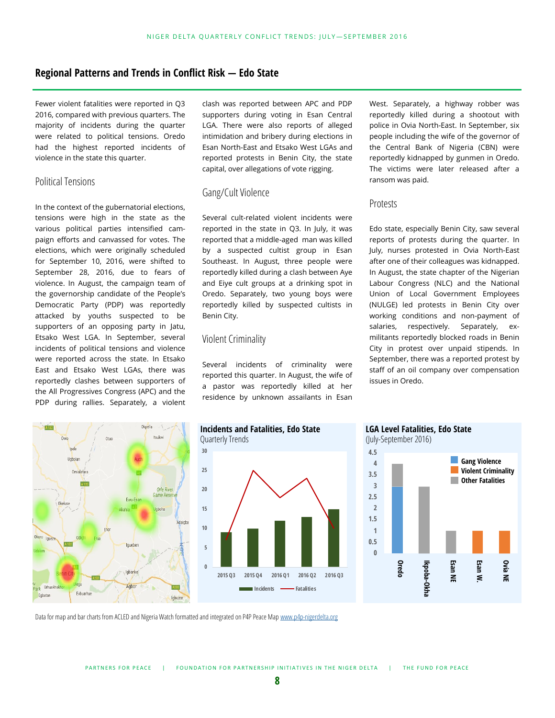# **Regional Patterns and Trends in Conflict Risk — Edo State**

Fewer violent fatalities were reported in Q3 2016, compared with previous quarters. The majority of incidents during the quarter were related to political tensions. Oredo had the highest reported incidents of violence in the state this quarter.

# Political Tensions

In the context of the gubernatorial elections, tensions were high in the state as the various political parties intensified campaign efforts and canvassed for votes. The elections, which were originally scheduled for September 10, 2016, were shifted to September 28, 2016, due to fears of violence. In August, the campaign team of the governorship candidate of the People's Democratic Party (PDP) was reportedly attacked by youths suspected to be supporters of an opposing party in Jatu, Etsako West LGA. In September, several incidents of political tensions and violence were reported across the state. In Etsako East and Etsako West LGAs, there was reportedly clashes between supporters of the All Progressives Congress (APC) and the PDP during rallies. Separately, a violent clash was reported between APC and PDP supporters during voting in Esan Central LGA. There were also reports of alleged intimidation and bribery during elections in Esan North-East and Etsako West LGAs and reported protests in Benin City, the state capital, over allegations of vote rigging.

#### Gang/Cult Violence

Several cult-related violent incidents were reported in the state in Q3. In July, it was reported that a middle-aged man was killed by a suspected cultist group in Esan Southeast. In August, three people were reportedly killed during a clash between Aye and Eiye cult groups at a drinking spot in Oredo. Separately, two young boys were reportedly killed by suspected cultists in Benin City.

#### Violent Criminality

Several incidents of criminality were reported this quarter. In August, the wife of a pastor was reportedly killed at her residence by unknown assailants in Esan West. Separately, a highway robber was reportedly killed during a shootout with police in Ovia North-East. In September, six people including the wife of the governor of the Central Bank of Nigeria (CBN) were reportedly kidnapped by gunmen in Oredo. The victims were later released after a ransom was paid.

#### Protests

Edo state, especially Benin City, saw several reports of protests during the quarter. In July, nurses protested in Ovia North-East after one of their colleagues was kidnapped. In August, the state chapter of the Nigerian Labour Congress (NLC) and the National Union of Local Government Employees (NULGE) led protests in Benin City over working conditions and non-payment of salaries, respectively. Separately, exmilitants reportedly blocked roads in Benin City in protest over unpaid stipends. In September, there was a reported protest by staff of an oil company over compensation issues in Oredo.









Data for map and bar charts from ACLED and Nigeria Watch formatted and integrated on P4P Peace Map www.p4p-[nigerdelta.org](http://www.p4p-nigerdelta.org)

**8**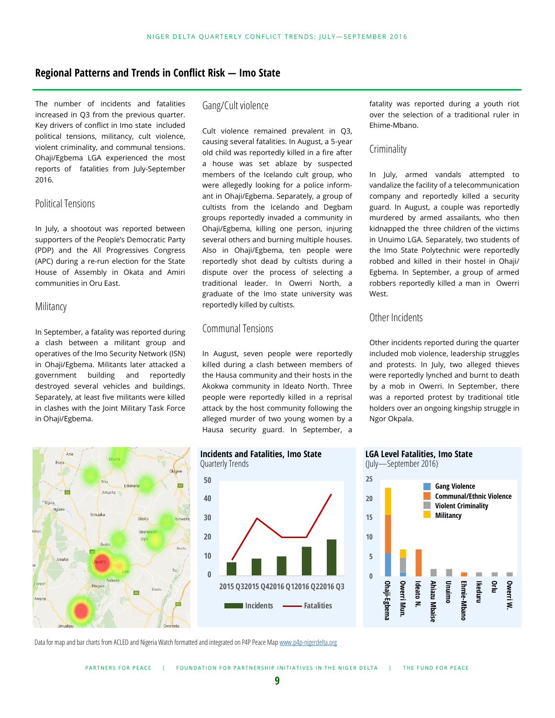# **Regional Patterns and Trends in Conflict Risk — Imo State**

The number of incidents and fatalities increased in Q3 from the previous quarter. Key drivers of conflict in Imo state included political tensions, militancy, cult violence, violent criminality, and communal tensions. Ohaji/Egbema LGA experienced the most reports of fatalities from July-September 2016.

# Political Tensions

In July, a shootout was reported between supporters of the People's Democratic Party (PDP) and the All Progressives Congress (APC) during a re-run election for the State House of Assembly in Okata and Amiri communities in Oru East.

#### **Militancy**

In September, a fatality was reported during a clash between a militant group and operatives of the Imo Security Network (ISN) in Ohaji/Egbema. Militants later attacked a government building and reportedly destroyed several vehicles and buildings. Separately, at least five militants were killed in clashes with the Joint Military Task Force in Ohaji/Egbema.



# Gang/Cult violence

Cult violence remained prevalent in Q3, causing several fatalities. In August, a 5-year old child was reportedly killed in a fire after a house was set ablaze by suspected members of the Icelando cult group, who were allegedly looking for a police informant in Ohaji/Egbema. Separately, a group of cultists from the Icelando and Degbam groups reportedly invaded a community in Ohaji/Egbema, killing one person, injuring several others and burning multiple houses. Also in Ohaji/Egbema, ten people were reportedly shot dead by cultists during a dispute over the process of selecting a traditional leader. In Owerri North, a graduate of the Imo state university was reportedly killed by cultists.

# Communal Tensions

In August, seven people were reportedly killed during a clash between members of the Hausa community and their hosts in the Akokwa community in Ideato North. Three people were reportedly killed in a reprisal attack by the host community following the alleged murder of two young women by a Hausa security guard. In September, a



fatality was reported during a youth riot over the selection of a traditional ruler in Ehime-Mbano.

# Criminality

In July, armed vandals attempted to vandalize the facility of a telecommunication company and reportedly killed a security guard. In August, a couple was reportedly murdered by armed assailants, who then kidnapped the three children of the victims in Unuimo LGA. Separately, two students of the Imo State Polytechnic were reportedly robbed and killed in their hostel in Ohaji/ Egbema. In September, a group of armed robbers reportedly killed a man in Owerri West.

# Other Incidents

Other incidents reported during the quarter included mob violence, leadership struggles and protests. In July, two alleged thieves were reportedly lynched and burnt to death by a mob in Owerri. In September, there was a reported protest by traditional title holders over an ongoing kingship struggle in Ngor Okpala.

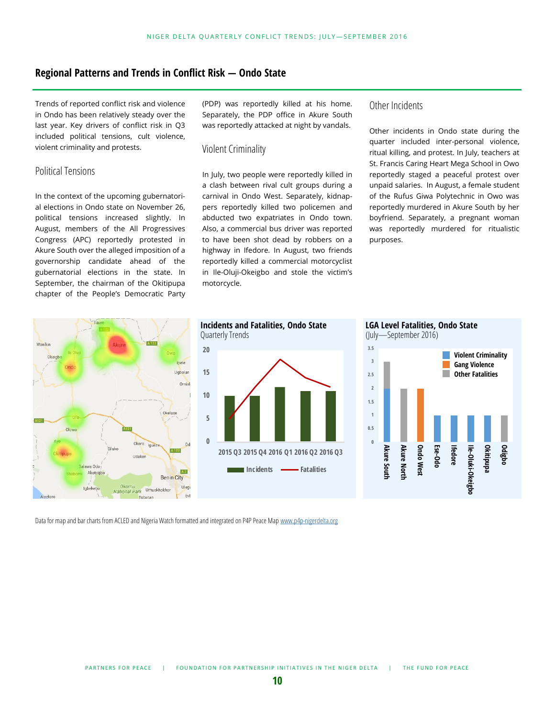# **Regional Patterns and Trends in Conflict Risk — Ondo State**

Trends of reported conflict risk and violence in Ondo has been relatively steady over the last year. Key drivers of conflict risk in Q3 included political tensions, cult violence, violent criminality and protests.

# Political Tensions

In the context of the upcoming gubernatorial elections in Ondo state on November 26, political tensions increased slightly. In August, members of the All Progressives Congress (APC) reportedly protested in Akure South over the alleged imposition of a governorship candidate ahead of the gubernatorial elections in the state. In September, the chairman of the Okitipupa chapter of the People's Democratic Party

(PDP) was reportedly killed at his home. Separately, the PDP office in Akure South was reportedly attacked at night by vandals.

#### Violent Criminality

In July, two people were reportedly killed in a clash between rival cult groups during a carnival in Ondo West. Separately, kidnappers reportedly killed two policemen and abducted two expatriates in Ondo town. Also, a commercial bus driver was reported to have been shot dead by robbers on a highway in Ifedore. In August, two friends reportedly killed a commercial motorcyclist in Ile-Oluji-Okeigbo and stole the victim's motorcycle.

# Other Incidents

Other incidents in Ondo state during the quarter included inter-personal violence, ritual killing, and protest. In July, teachers at St. Francis Caring Heart Mega School in Owo reportedly staged a peaceful protest over unpaid salaries. In August, a female student of the Rufus Giwa Polytechnic in Owo was reportedly murdered in Akure South by her boyfriend. Separately, a pregnant woman was reportedly murdered for ritualistic purposes.





**Incidents and Fatalities, Ondo State**

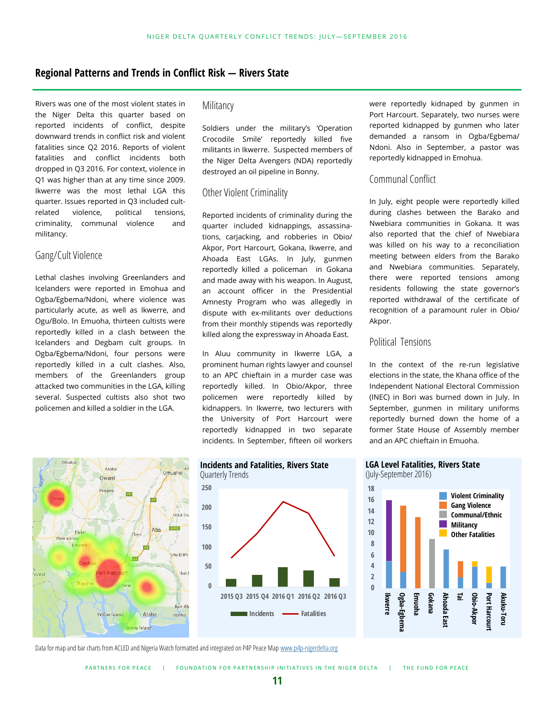# **Regional Patterns and Trends in Conflict Risk — Rivers State**

Rivers was one of the most violent states in the Niger Delta this quarter based on reported incidents of conflict, despite downward trends in conflict risk and violent fatalities since Q2 2016. Reports of violent fatalities and conflict incidents both dropped in Q3 2016. For context, violence in Q1 was higher than at any time since 2009. Ikwerre was the most lethal LGA this quarter. Issues reported in Q3 included cultrelated violence, political tensions, criminality, communal violence and militancy.

# Gang/Cult Violence

Lethal clashes involving Greenlanders and Icelanders were reported in Emohua and Ogba/Egbema/Ndoni, where violence was particularly acute, as well as Ikwerre, and Ogu/Bolo. In Emuoha, thirteen cultists were reportedly killed in a clash between the Icelanders and Degbam cult groups. In Ogba/Egbema/Ndoni, four persons were reportedly killed in a cult clashes. Also, members of the Greenlanders group attacked two communities in the LGA, killing several. Suspected cultists also shot two policemen and killed a soldier in the LGA.

#### Militancy

Soldiers under the military's 'Operation Crocodile Smile' reportedly killed five militants in Ikwerre. Suspected members of the Niger Delta Avengers (NDA) reportedly destroyed an oil pipeline in Bonny.

#### Other Violent Criminality

Reported incidents of criminality during the quarter included kidnappings, assassinations, carjacking, and robberies in Obio/ Akpor, Port Harcourt, Gokana, Ikwerre, and Ahoada East LGAs. In July, gunmen reportedly killed a policeman in Gokana and made away with his weapon. In August, an account officer in the Presidential Amnesty Program who was allegedly in dispute with ex-militants over deductions from their monthly stipends was reportedly killed along the expressway in Ahoada East.

In Aluu community in Ikwerre LGA, a prominent human rights lawyer and counsel to an APC chieftain in a murder case was reportedly killed. In Obio/Akpor, three policemen were reportedly killed by kidnappers. In Ikwerre, two lecturers with the University of Port Harcourt were reportedly kidnapped in two separate incidents. In September, fifteen oil workers were reportedly kidnaped by gunmen in Port Harcourt. Separately, two nurses were reported kidnapped by gunmen who later demanded a ransom in Ogba/Egbema/ Ndoni. Also in September, a pastor was reportedly kidnapped in Emohua.

# Communal Conflict

In July, eight people were reportedly killed during clashes between the Barako and Nwebiara communities in Gokana. It was also reported that the chief of Nwebiara was killed on his way to a reconciliation meeting between elders from the Barako and Nwebiara communities. Separately, there were reported tensions among residents following the state governor's reported withdrawal of the certificate of recognition of a paramount ruler in Obio/ Akpor.

#### Political Tensions

In the context of the re-run legislative elections in the state, the Khana office of the Independent National Electoral Commission (INEC) in Bori was burned down in July. In September, gunmen in military uniforms reportedly burned down the home of a former State House of Assembly member and an APC chieftain in Emuoha.







**LGA Level Fatalities, Rivers State**